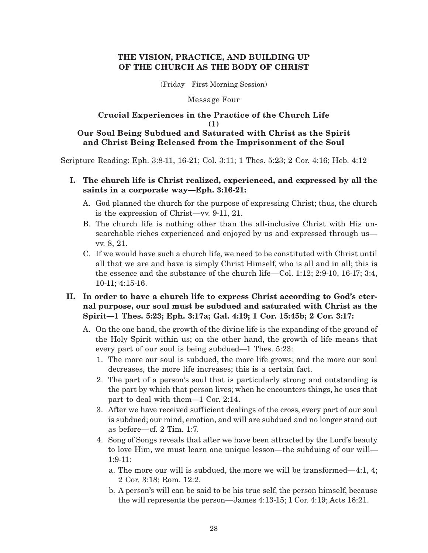## **THE VISION, PRACTICE, AND BUILDING UP OF THE CHURCH AS THE BODY OF CHRIST**

(Friday—First Morning Session)

### Message Four

### **Crucial Experiences in the Practice of the Church Life (1) Our Soul Being Subdued and Saturated with Christ as the Spirit and Christ Being Released from the Imprisonment of the Soul**

Scripture Reading: Eph. 3:8-11, 16-21; Col. 3:11; 1 Thes. 5:23; 2 Cor. 4:16; Heb. 4:12

- **I. The church life is Christ realized, experienced, and expressed by all the saints in a corporate way—Eph. 3:16-21:**
	- A. God planned the church for the purpose of expressing Christ; thus, the church is the expression of Christ—vv. 9-11, 21.
	- B. The church life is nothing other than the all-inclusive Christ with His unsearchable riches experienced and enjoyed by us and expressed through us vv. 8, 21.
	- C. If we would have such a church life, we need to be constituted with Christ until all that we are and have is simply Christ Himself, who is all and in all; this is the essence and the substance of the church life—Col. 1:12; 2:9-10, 16-17; 3:4, 10-11; 4:15-16.

# **II. In order to have a church life to express Christ according to God's eternal purpose, our soul must be subdued and saturated with Christ as the Spirit—1 Thes. 5:23; Eph. 3:17a; Gal. 4:19; 1 Cor. 15:45b; 2 Cor. 3:17:**

- A. On the one hand, the growth of the divine life is the expanding of the ground of the Holy Spirit within us; on the other hand, the growth of life means that every part of our soul is being subdued—1 Thes. 5:23:
	- 1. The more our soul is subdued, the more life grows; and the more our soul decreases, the more life increases; this is a certain fact.
	- 2. The part of a person's soul that is particularly strong and outstanding is the part by which that person lives; when he encounters things, he uses that part to deal with them—1 Cor. 2:14.
	- 3. After we have received sufficient dealings of the cross, every part of our soul is subdued; our mind, emotion, and will are subdued and no longer stand out as before—cf. 2 Tim. 1:7.
	- 4. Song of Songs reveals that after we have been attracted by the Lord's beauty to love Him, we must learn one unique lesson—the subduing of our will— 1:9-11:
		- a. The more our will is subdued, the more we will be transformed—4:1, 4; 2 Cor. 3:18; Rom. 12:2.
		- b. A person's will can be said to be his true self, the person himself, because the will represents the person—James 4:13-15; 1 Cor. 4:19; Acts 18:21.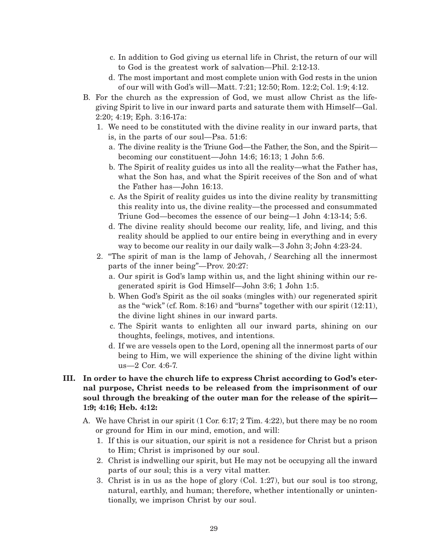- c. In addition to God giving us eternal life in Christ, the return of our will to God is the greatest work of salvation—Phil. 2:12-13.
- d. The most important and most complete union with God rests in the union of our will with God's will—Matt. 7:21; 12:50; Rom. 12:2; Col. 1:9; 4:12.
- B. For the church as the expression of God, we must allow Christ as the lifegiving Spirit to live in our inward parts and saturate them with Himself—Gal. 2:20; 4:19; Eph. 3:16-17a:
	- 1. We need to be constituted with the divine reality in our inward parts, that is, in the parts of our soul—Psa. 51:6:
		- a. The divine reality is the Triune God—the Father, the Son, and the Spirit becoming our constituent—John 14:6; 16:13; 1 John 5:6.
		- b. The Spirit of reality guides us into all the reality—what the Father has, what the Son has, and what the Spirit receives of the Son and of what the Father has—John 16:13.
		- c. As the Spirit of reality guides us into the divine reality by transmitting this reality into us, the divine reality—the processed and consummated Triune God—becomes the essence of our being—1 John 4:13-14; 5:6.
		- d. The divine reality should become our reality, life, and living, and this reality should be applied to our entire being in everything and in every way to become our reality in our daily walk—3 John 3; John 4:23-24.
	- 2. "The spirit of man is the lamp of Jehovah, / Searching all the innermost parts of the inner being"—Prov. 20:27:
		- a. Our spirit is God's lamp within us, and the light shining within our regenerated spirit is God Himself—John 3:6; 1 John 1:5.
		- b. When God's Spirit as the oil soaks (mingles with) our regenerated spirit as the "wick" (cf. Rom. 8:16) and "burns" together with our spirit (12:11), the divine light shines in our inward parts.
		- c. The Spirit wants to enlighten all our inward parts, shining on our thoughts, feelings, motives, and intentions.
		- d. If we are vessels open to the Lord, opening all the innermost parts of our being to Him, we will experience the shining of the divine light within us—2 Cor. 4:6-7.

# **III. In order to have the church life to express Christ according to God's eternal purpose, Christ needs to be released from the imprisonment of our soul through the breaking of the outer man for the release of the spirit— 1:9; 4:16; Heb. 4:12:**

- A. We have Christ in our spirit (1 Cor. 6:17; 2 Tim. 4:22), but there may be no room or ground for Him in our mind, emotion, and will:
	- 1. If this is our situation, our spirit is not a residence for Christ but a prison to Him; Christ is imprisoned by our soul.
	- 2. Christ is indwelling our spirit, but He may not be occupying all the inward parts of our soul; this is a very vital matter.
	- 3. Christ is in us as the hope of glory (Col. 1:27), but our soul is too strong, natural, earthly, and human; therefore, whether intentionally or unintentionally, we imprison Christ by our soul.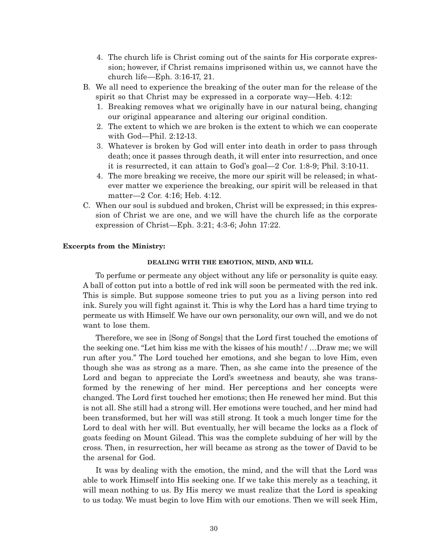- 4. The church life is Christ coming out of the saints for His corporate expression; however, if Christ remains imprisoned within us, we cannot have the church life—Eph. 3:16-17, 21.
- B. We all need to experience the breaking of the outer man for the release of the spirit so that Christ may be expressed in a corporate way—Heb. 4:12:
	- 1. Breaking removes what we originally have in our natural being, changing our original appearance and altering our original condition.
	- 2. The extent to which we are broken is the extent to which we can cooperate with God—Phil. 2:12-13.
	- 3. Whatever is broken by God will enter into death in order to pass through death; once it passes through death, it will enter into resurrection, and once it is resurrected, it can attain to God's goal—2 Cor. 1:8-9; Phil. 3:10-11.
	- 4. The more breaking we receive, the more our spirit will be released; in whatever matter we experience the breaking, our spirit will be released in that matter—2 Cor. 4:16; Heb. 4:12.
- C. When our soul is subdued and broken, Christ will be expressed; in this expression of Christ we are one, and we will have the church life as the corporate expression of Christ—Eph. 3:21; 4:3-6; John 17:22.

### **Excerpts from the Ministry:**

#### **DEALING WITH THE EMOTION, MIND, AND WILL**

To perfume or permeate any object without any life or personality is quite easy. A ball of cotton put into a bottle of red ink will soon be permeated with the red ink. This is simple. But suppose someone tries to put you as a living person into red ink. Surely you will fight against it. This is why the Lord has a hard time trying to permeate us with Himself. We have our own personality, our own will, and we do not want to lose them.

Therefore, we see in [Song of Songs] that the Lord first touched the emotions of the seeking one. "Let him kiss me with the kisses of his mouth! / …Draw me; we will run after you." The Lord touched her emotions, and she began to love Him, even though she was as strong as a mare. Then, as she came into the presence of the Lord and began to appreciate the Lord's sweetness and beauty, she was transformed by the renewing of her mind. Her perceptions and her concepts were changed. The Lord first touched her emotions; then He renewed her mind. But this is not all. She still had a strong will. Her emotions were touched, and her mind had been transformed, but her will was still strong. It took a much longer time for the Lord to deal with her will. But eventually, her will became the locks as a flock of goats feeding on Mount Gilead. This was the complete subduing of her will by the cross. Then, in resurrection, her will became as strong as the tower of David to be the arsenal for God.

It was by dealing with the emotion, the mind, and the will that the Lord was able to work Himself into His seeking one. If we take this merely as a teaching, it will mean nothing to us. By His mercy we must realize that the Lord is speaking to us today. We must begin to love Him with our emotions. Then we will seek Him,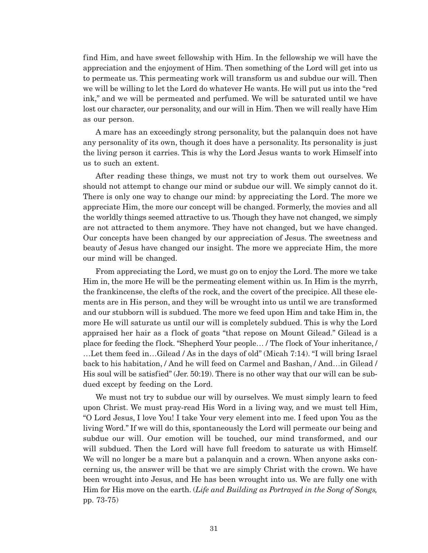find Him, and have sweet fellowship with Him. In the fellowship we will have the appreciation and the enjoyment of Him. Then something of the Lord will get into us to permeate us. This permeating work will transform us and subdue our will. Then we will be willing to let the Lord do whatever He wants. He will put us into the "red ink," and we will be permeated and perfumed. We will be saturated until we have lost our character, our personality, and our will in Him. Then we will really have Him as our person.

A mare has an exceedingly strong personality, but the palanquin does not have any personality of its own, though it does have a personality. Its personality is just the living person it carries. This is why the Lord Jesus wants to work Himself into us to such an extent.

After reading these things, we must not try to work them out ourselves. We should not attempt to change our mind or subdue our will. We simply cannot do it. There is only one way to change our mind: by appreciating the Lord. The more we appreciate Him, the more our concept will be changed. Formerly, the movies and all the worldly things seemed attractive to us. Though they have not changed, we simply are not attracted to them anymore. They have not changed, but we have changed. Our concepts have been changed by our appreciation of Jesus. The sweetness and beauty of Jesus have changed our insight. The more we appreciate Him, the more our mind will be changed.

From appreciating the Lord, we must go on to enjoy the Lord. The more we take Him in, the more He will be the permeating element within us. In Him is the myrrh, the frankincense, the clefts of the rock, and the covert of the precipice. All these elements are in His person, and they will be wrought into us until we are transformed and our stubborn will is subdued. The more we feed upon Him and take Him in, the more He will saturate us until our will is completely subdued. This is why the Lord appraised her hair as a flock of goats "that repose on Mount Gilead." Gilead is a place for feeding the flock. "Shepherd Your people… / The flock of Your inheritance, / …Let them feed in…Gilead / As in the days of old" (Micah 7:14). "I will bring Israel back to his habitation, / And he will feed on Carmel and Bashan, / And…in Gilead / His soul will be satisfied" (Jer. 50:19). There is no other way that our will can be subdued except by feeding on the Lord.

We must not try to subdue our will by ourselves. We must simply learn to feed upon Christ. We must pray-read His Word in a living way, and we must tell Him, "O Lord Jesus, I love You! I take Your very element into me. I feed upon You as the living Word." If we will do this, spontaneously the Lord will permeate our being and subdue our will. Our emotion will be touched, our mind transformed, and our will subdued. Then the Lord will have full freedom to saturate us with Himself. We will no longer be a mare but a palanquin and a crown. When anyone asks concerning us, the answer will be that we are simply Christ with the crown. We have been wrought into Jesus, and He has been wrought into us. We are fully one with Him for His move on the earth. (*Life and Building as Portrayed in the Song of Songs,* pp. 73-75)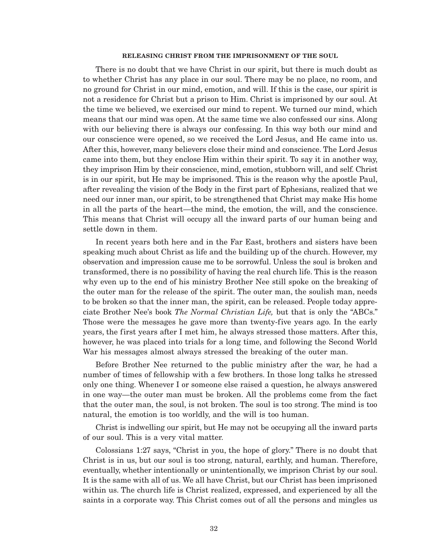#### **RELEASING CHRIST FROM THE IMPRISONMENT OF THE SOUL**

There is no doubt that we have Christ in our spirit, but there is much doubt as to whether Christ has any place in our soul. There may be no place, no room, and no ground for Christ in our mind, emotion, and will. If this is the case, our spirit is not a residence for Christ but a prison to Him. Christ is imprisoned by our soul. At the time we believed, we exercised our mind to repent. We turned our mind, which means that our mind was open. At the same time we also confessed our sins. Along with our believing there is always our confessing. In this way both our mind and our conscience were opened, so we received the Lord Jesus, and He came into us. After this, however, many believers close their mind and conscience. The Lord Jesus came into them, but they enclose Him within their spirit. To say it in another way, they imprison Him by their conscience, mind, emotion, stubborn will, and self. Christ is in our spirit, but He may be imprisoned. This is the reason why the apostle Paul, after revealing the vision of the Body in the first part of Ephesians, realized that we need our inner man, our spirit, to be strengthened that Christ may make His home in all the parts of the heart—the mind, the emotion, the will, and the conscience. This means that Christ will occupy all the inward parts of our human being and settle down in them.

In recent years both here and in the Far East, brothers and sisters have been speaking much about Christ as life and the building up of the church. However, my observation and impression cause me to be sorrowful. Unless the soul is broken and transformed, there is no possibility of having the real church life. This is the reason why even up to the end of his ministry Brother Nee still spoke on the breaking of the outer man for the release of the spirit. The outer man, the soulish man, needs to be broken so that the inner man, the spirit, can be released. People today appreciate Brother Nee's book *The Normal Christian Life,* but that is only the "ABCs." Those were the messages he gave more than twenty-five years ago. In the early years, the first years after I met him, he always stressed those matters. After this, however, he was placed into trials for a long time, and following the Second World War his messages almost always stressed the breaking of the outer man.

Before Brother Nee returned to the public ministry after the war, he had a number of times of fellowship with a few brothers. In those long talks he stressed only one thing. Whenever I or someone else raised a question, he always answered in one way—the outer man must be broken. All the problems come from the fact that the outer man, the soul, is not broken. The soul is too strong. The mind is too natural, the emotion is too worldly, and the will is too human.

Christ is indwelling our spirit, but He may not be occupying all the inward parts of our soul. This is a very vital matter.

Colossians 1:27 says, "Christ in you, the hope of glory." There is no doubt that Christ is in us, but our soul is too strong, natural, earthly, and human. Therefore, eventually, whether intentionally or unintentionally, we imprison Christ by our soul. It is the same with all of us. We all have Christ, but our Christ has been imprisoned within us. The church life is Christ realized, expressed, and experienced by all the saints in a corporate way. This Christ comes out of all the persons and mingles us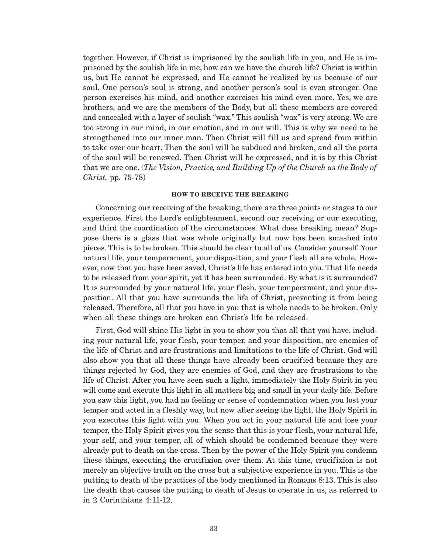together. However, if Christ is imprisoned by the soulish life in you, and He is imprisoned by the soulish life in me, how can we have the church life? Christ is within us, but He cannot be expressed, and He cannot be realized by us because of our soul. One person's soul is strong, and another person's soul is even stronger. One person exercises his mind, and another exercises his mind even more. Yes, we are brothers, and we are the members of the Body, but all these members are covered and concealed with a layer of soulish "wax." This soulish "wax" is very strong. We are too strong in our mind, in our emotion, and in our will. This is why we need to be strengthened into our inner man. Then Christ will fill us and spread from within to take over our heart. Then the soul will be subdued and broken, and all the parts of the soul will be renewed. Then Christ will be expressed, and it is by this Christ that we are one. (*The Vision, Practice, and Building Up of the Church as the Body of Christ,* pp. 75-78)

#### **HOW TO RECEIVE THE BREAKING**

Concerning our receiving of the breaking, there are three points or stages to our experience. First the Lord's enlightenment, second our receiving or our executing, and third the coordination of the circumstances. What does breaking mean? Suppose there is a glass that was whole originally but now has been smashed into pieces. This is to be broken. This should be clear to all of us. Consider yourself. Your natural life, your temperament, your disposition, and your flesh all are whole. However, now that you have been saved, Christ's life has entered into you. That life needs to be released from your spirit, yet it has been surrounded. By what is it surrounded? It is surrounded by your natural life, your flesh, your temperament, and your disposition. All that you have surrounds the life of Christ, preventing it from being released. Therefore, all that you have in you that is whole needs to be broken. Only when all these things are broken can Christ's life be released.

First, God will shine His light in you to show you that all that you have, including your natural life, your flesh, your temper, and your disposition, are enemies of the life of Christ and are frustrations and limitations to the life of Christ. God will also show you that all these things have already been crucified because they are things rejected by God, they are enemies of God, and they are frustrations to the life of Christ. After you have seen such a light, immediately the Holy Spirit in you will come and execute this light in all matters big and small in your daily life. Before you saw this light, you had no feeling or sense of condemnation when you lost your temper and acted in a fleshly way, but now after seeing the light, the Holy Spirit in you executes this light with you. When you act in your natural life and lose your temper, the Holy Spirit gives you the sense that this is your flesh, your natural life, your self, and your temper, all of which should be condemned because they were already put to death on the cross. Then by the power of the Holy Spirit you condemn these things, executing the crucifixion over them. At this time, crucifixion is not merely an objective truth on the cross but a subjective experience in you. This is the putting to death of the practices of the body mentioned in Romans 8:13. This is also the death that causes the putting to death of Jesus to operate in us, as referred to in 2 Corinthians 4:11-12.